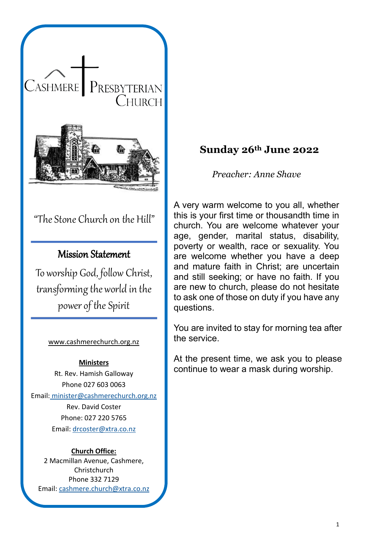

# "The Stone Church on the Hill"

# Mission Statement

To worship God, follow Christ, transforming the world in the power of the Spirit

#### [www.cashmerechurch.org.nz](http://www.cashmerechurch.org.nz/)

#### **Ministers**

Rt. Rev. Hamish Galloway Phone 027 603 0063 Email: [minister@cashmerechurch.org.nz](mailto:minister@cashmerechurch.org.nz) Rev. David Coster

Phone: 027 220 5765 Email: [drcoster@xtra.co.nz](mailto:drcoster@xtra.co.nz)

#### **Church Office:**

2 Macmillan Avenue, Cashmere, **Christchurch** Phone 332 7129 Email: [cashmere.church@xtra.co.nz](mailto:cashmere.church@xtra.co.nz)

## **Sunday 26th June 2022**

*Preacher: Anne Shave*

A very warm welcome to you all, whether this is your first time or thousandth time in church. You are welcome whatever your age, gender, marital status, disability, poverty or wealth, race or sexuality. You are welcome whether you have a deep and mature faith in Christ; are uncertain and still seeking; or have no faith. If you are new to church, please do not hesitate to ask one of those on duty if you have any questions.

You are invited to stay for morning tea after the service.

At the present time, we ask you to please continue to wear a mask during worship.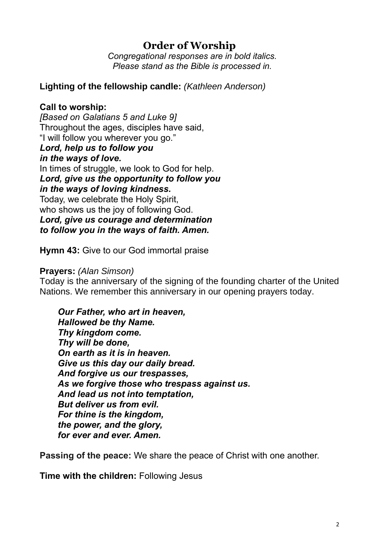# **Order of Worship**

*Congregational responses are in bold italics. Please stand as the Bible is processed in.*

**Lighting of the fellowship candle:** *(Kathleen Anderson)*

## **Call to worship:**

*[Based on Galatians 5 and Luke 9]* Throughout the ages, disciples have said, "I will follow you wherever you go." *Lord, help us to follow you in the ways of love.* In times of struggle, we look to God for help. *Lord, give us the opportunity to follow you in the ways of loving kindness.* Today, we celebrate the Holy Spirit, who shows us the joy of following God. *Lord, give us courage and determination to follow you in the ways of faith. Amen.*

**Hymn 43:** Give to our God immortal praise

### **Prayers:** *(Alan Simson)*

Today is the anniversary of the signing of the founding charter of the United Nations. We remember this anniversary in our opening prayers today.

*Our Father, who art in heaven, Hallowed be thy Name. Thy kingdom come. Thy will be done, On earth as it is in heaven. Give us this day our daily bread. And forgive us our trespasses, As we forgive those who trespass against us. And lead us not into temptation, But deliver us from evil. For thine is the kingdom, the power, and the glory, for ever and ever. Amen.*

**Passing of the peace:** We share the peace of Christ with one another.

**Time with the children:** Following Jesus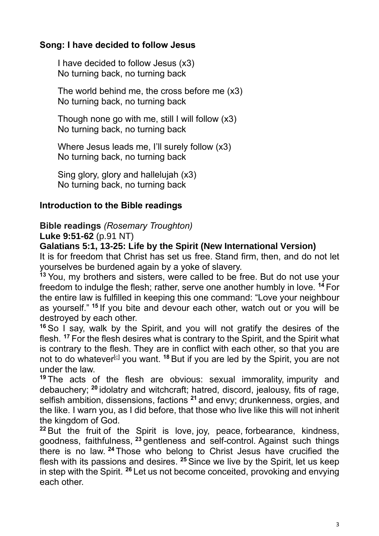## **Song: I have decided to follow Jesus**

I have decided to follow Jesus (x3) No turning back, no turning back

The world behind me, the cross before me (x3) No turning back, no turning back

Though none go with me, still I will follow (x3) No turning back, no turning back

Where Jesus leads me, I'll surely follow (x3) No turning back, no turning back

Sing glory, glory and hallelujah (x3) No turning back, no turning back

# **Introduction to the Bible readings**

**Bible readings** *(Rosemary Troughton)*

**Luke 9:51-62** (p.91 NT)

**Galatians 5:1, 13-25: Life by the Spirit (New International Version)** 

It is for freedom that Christ has set us free. Stand firm, then, and do not let yourselves be burdened again by a yoke of slavery.

**<sup>13</sup>** You, my brothers and sisters, were called to be free. But do not use your freedom to indulge the flesh; rather, serve one another humbly in love. **<sup>14</sup>** For the entire law is fulfilled in keeping this one command: "Love your neighbour as yourself." **<sup>15</sup>** If you bite and devour each other, watch out or you will be destroyed by each other.

**<sup>16</sup>** So I say, walk by the Spirit, and you will not gratify the desires of the flesh. **<sup>17</sup>** For the flesh desires what is contrary to the Spirit, and the Spirit what is contrary to the flesh. They are in conflict with each other, so that you are not to do whatever<sup>[\[c\]](https://www.biblegateway.com/passage/?search=Galatians+5&version=NIV#fen-NIV-29180c)</sup> you want. <sup>18</sup> But if you are led by the Spirit, you are not under the law.

**<sup>19</sup>** The acts of the flesh are obvious: sexual immorality, impurity and debauchery; **<sup>20</sup>** idolatry and witchcraft; hatred, discord, jealousy, fits of rage, selfish ambition, dissensions, factions **<sup>21</sup>** and envy; drunkenness, orgies, and the like. I warn you, as I did before, that those who live like this will not inherit the kingdom of God.

**<sup>22</sup>** But the fruit of the Spirit is love, joy, peace, forbearance, kindness, goodness, faithfulness, **<sup>23</sup>** gentleness and self-control. Against such things there is no law. **<sup>24</sup>** Those who belong to Christ Jesus have crucified the flesh with its passions and desires. **<sup>25</sup>** Since we live by the Spirit, let us keep in step with the Spirit. **<sup>26</sup>** Let us not become conceited, provoking and envying each other.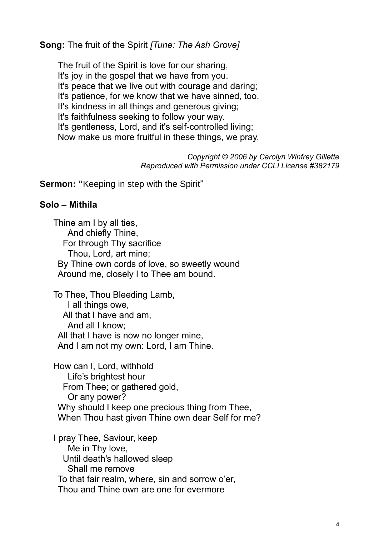**Song:** The fruit of the Spirit *[Tune: The Ash Grove]*

The fruit of the Spirit is love for our sharing, It's joy in the gospel that we have from you. It's peace that we live out with courage and daring; It's patience, for we know that we have sinned, too. It's kindness in all things and generous giving; It's faithfulness seeking to follow your way. It's gentleness, Lord, and it's self-controlled living; Now make us more fruitful in these things, we pray.

> *Copyright © 2006 by Carolyn Winfrey Gillette Reproduced with Permission under CCLI License #382179*

**Sermon: "**Keeping in step with the Spirit"

#### **Solo – Mithila**

Thine am I by all ties, And chiefly Thine, For through Thy sacrifice Thou, Lord, art mine; By Thine own cords of love, so sweetly wound Around me, closely I to Thee am bound.

To Thee, Thou Bleeding Lamb, I all things owe, All that I have and am, And all I know; All that I have is now no longer mine, And I am not my own: Lord, I am Thine.

How can I, Lord, withhold Life's brightest hour From Thee; or gathered gold, Or any power? Why should I keep one precious thing from Thee, When Thou hast given Thine own dear Self for me?

I pray Thee, Saviour, keep Me in Thy love, Until death's hallowed sleep Shall me remove To that fair realm, where, sin and sorrow o'er, Thou and Thine own are one for evermore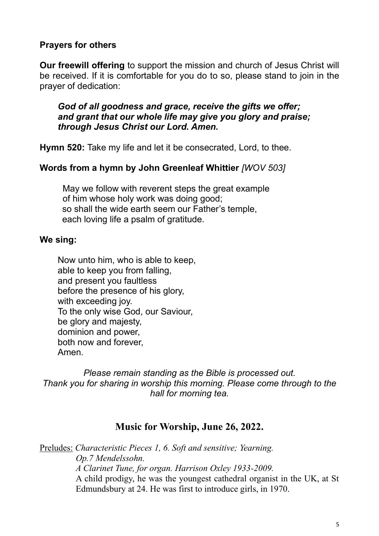### **Prayers for others**

**Our freewill offering** to support the mission and church of Jesus Christ will be received. If it is comfortable for you do to so, please stand to join in the prayer of dedication:

*God of all goodness and grace, receive the gifts we offer; and grant that our whole life may give you glory and praise; through Jesus Christ our Lord. Amen.* 

**Hymn 520:** Take my life and let it be consecrated, Lord, to thee.

### **Words from a hymn by John Greenleaf Whittier** *[WOV 503]*

May we follow with reverent steps the great example of him whose holy work was doing good; so shall the wide earth seem our Father's temple, each loving life a psalm of gratitude.

#### **We sing:**

Now unto him, who is able to keep, able to keep you from falling, and present you faultless before the presence of his glory, with exceeding joy. To the only wise God, our Saviour, be glory and majesty, dominion and power, both now and forever, Amen.

*Please remain standing as the Bible is processed out. Thank you for sharing in worship this morning. Please come through to the hall for morning tea.*

### **Music for Worship, June 26, 2022.**

Preludes: *Characteristic Pieces 1, 6. Soft and sensitive; Yearning. Op.7 Mendelssohn. A Clarinet Tune, for organ. Harrison Oxley 1933-2009.*  A child prodigy, he was the youngest cathedral organist in the UK, at St Edmundsbury at 24. He was first to introduce girls, in 1970.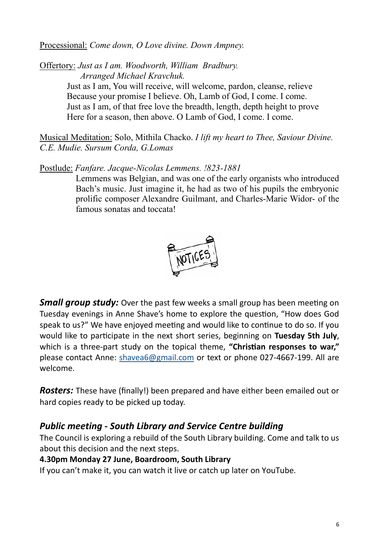#### Processional: *Come down, O Love divine. Down Ampney.*

Offertory: *Just as I am. Woodworth, William Bradbury. Arranged Michael Kravchuk.*

Just as I am, You will receive, will welcome, pardon, cleanse, relieve Because your promise I believe. Oh, Lamb of God, I come. I come. Just as I am, of that free love the breadth, length, depth height to prove Here for a season, then above. O Lamb of God, I come. I come.

Musical Meditation: Solo, Mithila Chacko. *I lift my heart to Thee, Saviour Divine. C.E. Mudie. Sursum Corda, G.Lomas*

Postlude: *Fanfare. Jacque-Nicolas Lemmens. !823-1881*

Lemmens was Belgian, and was one of the early organists who introduced Bach's music. Just imagine it, he had as two of his pupils the embryonic prolific composer Alexandre Guilmant, and Charles-Marie Widor- of the famous sonatas and toccata!



*Small group study:* Over the past few weeks a small group has been meeting on Tuesday evenings in Anne Shave's home to explore the question, "How does God speak to us?" We have enjoyed meeting and would like to continue to do so. If you would like to participate in the next short series, beginning on **Tuesday 5th July**, which is a three-part study on the topical theme, **"Christian responses to war,"** please contact Anne: shavea6@gmail.com or text or phone 027-4667-199. All are welcome.

*Rosters:* These have (finally!) been prepared and have either been emailed out or hard copies ready to be picked up today.

## *Public meeting - South Library and Service Centre building*

The Council is exploring a rebuild of the South Library building. Come and talk to us about this decision and the next steps.

### **4.30pm Monday 27 June, Boardroom, South Library**

If you can't make it, you can watch it live or catch up later on YouTube.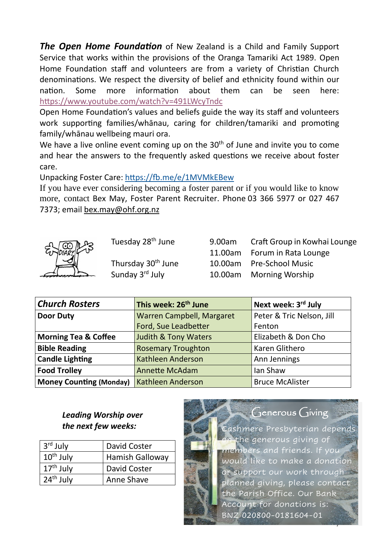*The Open Home Foundation* of New Zealand is a Child and Family Support Service that works within the provisions of the Oranga Tamariki Act 1989. Open Home Foundation staff and volunteers are from a variety of Christian Church denominations. We respect the diversity of belief and ethnicity found within our nation. Some more information about them can be seen here: <https://www.youtube.com/watch?v=491LWcyTndc>

Open Home Foundation's values and beliefs guide the way its staff and volunteers work supporting families/whānau, caring for children/tamariki and promoting family/whānau wellbeing mauri ora.

We have a live online event coming up on the  $30<sup>th</sup>$  of June and invite you to come and hear the answers to the frequently asked questions we receive about foster care.

Unpacking Foster Care:<https://fb.me/e/1MVMkEBew>

If you have ever considering becoming a foster parent or if you would like to know more, contact Bex May, Foster Parent Recruiter. Phone 03 366 5977 or 027 467 7373; email [bex.may@ohf.org.nz](mailto:bex.may@ohf.org.nz)



Sunday 3rd July

Tuesday 28th June 9.00am Craft Group in Kowhai Lounge 11.00am Forum in Rata Lounge Thursday 30th June 10.00am Pre-School Music 10.00am Morning Worship

| <b>Church Rosters</b>           | This week: 26 <sup>th</sup> June | Next week: 3rd July       |
|---------------------------------|----------------------------------|---------------------------|
| <b>Door Duty</b>                | Warren Campbell, Margaret        | Peter & Tric Nelson, Jill |
|                                 | Ford, Sue Leadbetter             | Fenton                    |
| <b>Morning Tea &amp; Coffee</b> | <b>Judith &amp; Tony Waters</b>  | Elizabeth & Don Cho       |
| <b>Bible Reading</b>            | <b>Rosemary Troughton</b>        | Karen Glithero            |
| <b>Candle Lighting</b>          | <b>Kathleen Anderson</b>         | Ann Jennings              |
| <b>Food Trolley</b>             | <b>Annette McAdam</b>            | lan Shaw                  |
| <b>Money Counting (Monday)</b>  | <b>Kathleen Anderson</b>         | <b>Bruce McAlister</b>    |

## *Leading Worship over the next few weeks:*

| 3 <sup>rd</sup> July | David Coster           |  |
|----------------------|------------------------|--|
| $10th$ July          | <b>Hamish Galloway</b> |  |
| $17th$ July          | David Coster           |  |
| $24th$ July          | Anne Shave             |  |



7